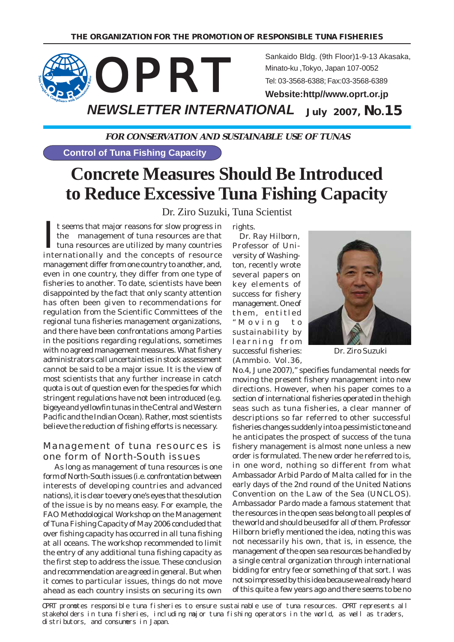

# **FOR CONSERVATION AND SUSTAINABLE USE OF TUNAS**

**Control of Tuna Fishing Capacity**

# **Concrete Measures Should Be Introduced to Reduce Excessive Tuna Fishing Capacity**

# Dr. Ziro Suzuki, Tuna Scientist

It seems that major reasons for slow progress in<br>the management of tuna resources are that<br>tuna resources are utilized by many countries<br>internationally and the concepts of resource t seems that major reasons for slow progress in the management of tuna resources are that tuna resources are utilized by many countries management differ from one country to another, and, even in one country, they differ from one type of fisheries to another. To date, scientists have been disappointed by the fact that only scanty attention has often been given to recommendations for regulation from the Scientific Committees of the regional tuna fisheries management organizations, and there have been confrontations among Parties in the positions regarding regulations, sometimes with no agreed management measures. What fishery administrators call uncertainties in stock assessment cannot be said to be a major issue. It is the view of most scientists that any further increase in catch quota is out of question even for the species for which stringent regulations have not been introduced (e.g. bigeye and yellowfin tunas in the Central and Western Pacific and the Indian Ocean). Rather, most scientists believe the reduction of fishing efforts is necessary.

## Management of tuna resources is one form of North-South issues

 As long as management of tuna resources is one form of North-South issues (i.e. confrontation between interests of developing countries and advanced nations), it is clear to every one's eyes that the solution of the issue is by no means easy. For example, the FAO Methodological Workshop on the Management of Tuna Fishing Capacity of May 2006 concluded that over fishing capacity has occurred in all tuna fishing at all oceans. The workshop recommended to limit the entry of any additional tuna fishing capacity as the first step to address the issue. These conclusion and recommendation are agreed in general. But when it comes to particular issues, things do not move ahead as each country insists on securing its own

rights.

 Dr. Ray Hilborn, Professor of University of Washington, recently wrote several papers on key elements of success for fishery management. One of them, entitled "Moving to sustainability by learning from successful fisheries: (Ammbio. Vol.36,



Dr. Ziro Suzuki

No.4, June 2007)," specifies fundamental needs for moving the present fishery management into new directions. However, when his paper comes to a section of international fisheries operated in the high seas such as tuna fisheries, a clear manner of descriptions so far referred to other successful fisheries changes suddenly into a pessimistic tone and he anticipates the prospect of success of the tuna fishery management is almost none unless a new order is formulated. The new order he referred to is, in one word, nothing so different from what Ambassador Arbid Pardo of Malta called for in the early days of the 2nd round of the United Nations Convention on the Law of the Sea (UNCLOS). Ambassador Pardo made a famous statement that the resources in the open seas belong to all peoples of the world and should be used for all of them. Professor Hilborn briefly mentioned the idea, noting this was not necessarily his own, that is, in essence, the management of the open sea resources be handled by a single central organization through international bidding for entry fee or something of that sort. I was not so impressed by this idea because we already heard of this quite a few years ago and there seems to be no

OPRT promotes responsible tuna fisheries to ensure sustainable use of tuna resources. OPRT represents all stakeholders in tuna fisheries, including major tuna fishing operators in the world, as well as traders, distributors, and consumers in Japan.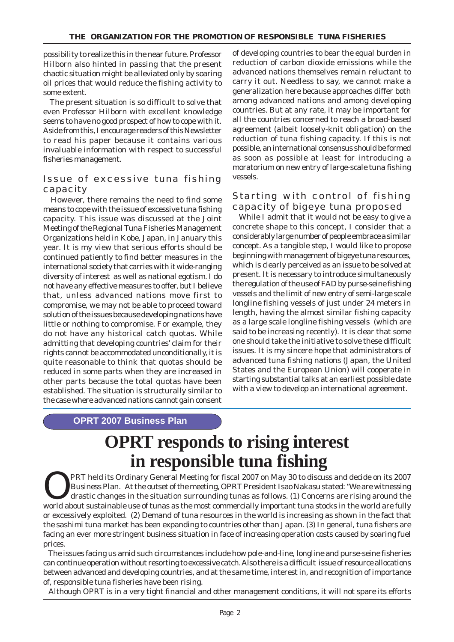possibility to realize this in the near future. Professor Hilborn also hinted in passing that the present chaotic situation might be alleviated only by soaring oil prices that would reduce the fishing activity to some extent.

 The present situation is so difficult to solve that even Professor Hilborn with excellent knowledge seems to have no good prospect of how to cope with it. Aside from this, I encourage readers of this Newsletter to read his paper because it contains various invaluable information with respect to successful fisheries management.

# Issue of excessive tuna fishing capacity

 However, there remains the need to find some means to cope with the issue of excessive tuna fishing capacity. This issue was discussed at the Joint Meeting of the Regional Tuna Fisheries Management Organizations held in Kobe, Japan, in January this year. It is my view that serious efforts should be continued patiently to find better measures in the international society that carries with it wide-ranging diversity of interest as well as national egotism. I do not have any effective measures to offer, but I believe that, unless advanced nations move first to compromise, we may not be able to proceed toward solution of the issues because developing nations have little or nothing to compromise. For example, they do not have any historical catch quotas. While admitting that developing countries' claim for their rights cannot be accommodated unconditionally, it is quite reasonable to think that quotas should be reduced in some parts when they are increased in other parts because the total quotas have been established. The situation is structurally similar to the case where advanced nations cannot gain consent

of developing countries to bear the equal burden in reduction of carbon dioxide emissions while the advanced nations themselves remain reluctant to carry it out. Needless to say, we cannot make a generalization here because approaches differ both among advanced nations and among developing countries. But at any rate, it may be important for all the countries concerned to reach a broad-based agreement (albeit loosely-knit obligation) on the reduction of tuna fishing capacity. If this is not possible, an international consensus should be formed as soon as possible at least for introducing a moratorium on new entry of large-scale tuna fishing vessels.

# Starting with control of fishing capacity of bigeye tuna proposed

 While I admit that it would not be easy to give a concrete shape to this concept, I consider that a considerably large number of people embrace a similar concept. As a tangible step, I would like to propose beginning with management of bigeye tuna resources, which is clearly perceived as an issue to be solved at present. It is necessary to introduce simultaneously the regulation of the use of FAD by purse-seine fishing vessels and the limit of new entry of semi-large scale longline fishing vessels of just under 24 meters in length, having the almost similar fishing capacity as a large scale longline fishing vessels (which are said to be increasing recently). It is clear that some one should take the initiative to solve these difficult issues. It is my sincere hope that administrators of advanced tuna fishing nations (Japan, the United States and the European Union) will cooperate in starting substantial talks at an earliest possible date with a view to develop an international agreement.

## **OPRT 2007 Business Plan**

# **OPRT responds to rising interest in responsible tuna fishing**

**OPRT** held its Ordinary General Meeting for fiscal 2007 on May 30 to discuss and decide on its 2007<br>Business Plan. At the outset of the meeting, OPRT President Isao Nakasu stated: "We are witnessing<br>drastic changes in the Business Plan. At the outset of the meeting, OPRT President Isao Nakasu stated: "We are witnessing drastic changes in the situation surrounding tunas as follows. (1) Concerns are rising around the world about sustainable use of tunas as the most commercially important tuna stocks in the world are fully or excessively exploited. (2) Demand of tuna resources in the world is increasing as shown in the fact that the sashimi tuna market has been expanding to countries other than Japan. (3) In general, tuna fishers are facing an ever more stringent business situation in face of increasing operation costs caused by soaring fuel prices.

 The issues facing us amid such circumstances include how pole-and-line, longline and purse-seine fisheries can continue operation without resorting to excessive catch. Also there is a difficult issue of resource allocations between advanced and developing countries, and at the same time, interest in, and recognition of importance of, responsible tuna fisheries have been rising.

Although OPRT is in a very tight financial and other management conditions, it will not spare its efforts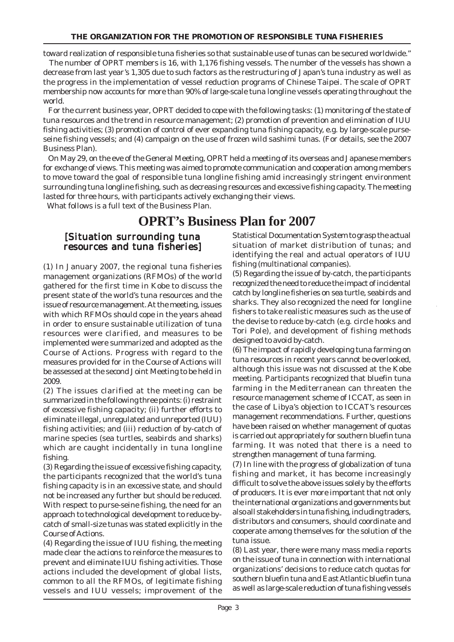toward realization of responsible tuna fisheries so that sustainable use of tunas can be secured worldwide." The number of OPRT members is 16, with 1,176 fishing vessels. The number of the vessels has shown a decrease from last year's 1,305 due to such factors as the restructuring of Japan's tuna industry as well as the progress in the implementation of vessel reduction programs of Chinese Taipei. The scale of OPRT membership now accounts for more than 90% of large-scale tuna longline vessels operating throughout the world.

 For the current business year, OPRT decided to cope with the following tasks: (1) monitoring of the state of tuna resources and the trend in resource management; (2) promotion of prevention and elimination of IUU fishing activities; (3) promotion of control of ever expanding tuna fishing capacity, e.g. by large-scale purseseine fishing vessels; and (4) campaign on the use of frozen wild sashimi tunas. (For details, see the 2007 Business Plan).

 On May 29, on the eve of the General Meeting, OPRT held a meeting of its overseas and Japanese members for exchange of views. This meeting was aimed to promote communication and cooperation among members to move toward the goal of responsible tuna longline fishing amid increasingly stringent environment surrounding tuna longline fishing, such as decreasing resources and excessive fishing capacity. The meeting lasted for three hours, with participants actively exchanging their views.

What follows is a full text of the Business Plan.

# **OPRT's Business Plan for 2007**

# [Situation surrounding tuna resources and tuna fisheries]

(1) In January 2007, the regional tuna fisheries management organizations (RFMOs) of the world gathered for the first time in Kobe to discuss the present state of the world's tuna resources and the issue of resource management. At the meeting, issues with which RFMOs should cope in the years ahead in order to ensure sustainable utilization of tuna resources were clarified, and measures to be implemented were summarized and adopted as the Course of Actions. Progress with regard to the measures provided for in the Course of Actions will be assessed at the second Joint Meeting to be held in 2009.

(2) The issues clarified at the meeting can be summarized in the following three points: (i) restraint of excessive fishing capacity; (ii) further efforts to eliminate illegal, unregulated and unreported (IUU) fishing activities; and (iii) reduction of by-catch of marine species (sea turtles, seabirds and sharks) which are caught incidentally in tuna longline fishing.

(3) Regarding the issue of excessive fishing capacity, the participants recognized that the world's tuna fishing capacity is in an excessive state, and should not be increased any further but should be reduced. With respect to purse-seine fishing, the need for an approach to technological development to reduce bycatch of small-size tunas was stated explicitly in the Course of Actions.

(4) Regarding the issue of IUU fishing, the meeting made clear the actions to reinforce the measures to prevent and eliminate IUU fishing activities. Those actions included the development of global lists, common to all the RFMOs, of legitimate fishing vessels and IUU vessels; improvement of the Statistical Documentation System to grasp the actual situation of market distribution of tunas; and identifying the real and actual operators of IUU fishing (multinational companies).

(5) Regarding the issue of by-catch, the participants recognized the need to reduce the impact of incidental catch by longline fisheries on sea turtle, seabirds and sharks. They also recognized the need for longline fishers to take realistic measures such as the use of the devise to reduce by-catch (e.g. circle hooks and Tori Pole), and development of fishing methods designed to avoid by-catch.

(6) The impact of rapidly developing tuna farming on tuna resources in recent years cannot be overlooked, although this issue was not discussed at the Kobe meeting. Participants recognized that bluefin tuna farming in the Mediterranean can threaten the resource management scheme of ICCAT, as seen in the case of Libya's objection to ICCAT's resources management recommendations. Further, questions have been raised on whether management of quotas is carried out appropriately for southern bluefin tuna farming. It was noted that there is a need to strengthen management of tuna farming.

(7) In line with the progress of globalization of tuna fishing and market, it has become increasingly difficult to solve the above issues solely by the efforts of producers. It is ever more important that not only the international organizations and governments but also all stakeholders in tuna fishing, including traders, distributors and consumers, should coordinate and cooperate among themselves for the solution of the tuna issue.

(8) Last year, there were many mass media reports on the issue of tuna in connection with international organizations' decisions to reduce catch quotas for southern bluefin tuna and East Atlantic bluefin tuna as well as large-scale reduction of tuna fishing vessels